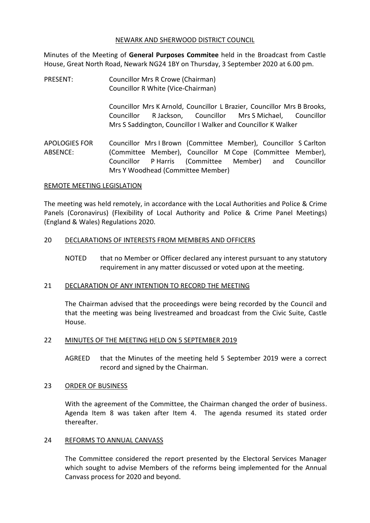#### NEWARK AND SHERWOOD DISTRICT COUNCIL

Minutes of the Meeting of **General Purposes Commitee** held in the Broadcast from Castle House, Great North Road, Newark NG24 1BY on Thursday, 3 September 2020 at 6.00 pm.

PRESENT: Councillor Mrs R Crowe (Chairman) Councillor R White (Vice-Chairman)

> Councillor Mrs K Arnold, Councillor L Brazier, Councillor Mrs B Brooks, Councillor R Jackson, Councillor Mrs S Michael, Councillor Mrs S Saddington, Councillor I Walker and Councillor K Walker

APOLOGIES FOR ABSENCE: Councillor Mrs I Brown (Committee Member), Councillor S Carlton (Committee Member), Councillor M Cope (Committee Member), Councillor P Harris (Committee Member) and Councillor Mrs Y Woodhead (Committee Member)

#### REMOTE MEETING LEGISLATION

The meeting was held remotely, in accordance with the Local Authorities and Police & Crime Panels (Coronavirus) (Flexibility of Local Authority and Police & Crime Panel Meetings) (England & Wales) Regulations 2020.

#### 20 DECLARATIONS OF INTERESTS FROM MEMBERS AND OFFICERS

NOTED that no Member or Officer declared any interest pursuant to any statutory requirement in any matter discussed or voted upon at the meeting.

## 21 DECLARATION OF ANY INTENTION TO RECORD THE MEETING

The Chairman advised that the proceedings were being recorded by the Council and that the meeting was being livestreamed and broadcast from the Civic Suite, Castle House.

#### 22 MINUTES OF THE MEETING HELD ON 5 SEPTEMBER 2019

AGREED that the Minutes of the meeting held 5 September 2019 were a correct record and signed by the Chairman.

#### 23 ORDER OF BUSINESS

With the agreement of the Committee, the Chairman changed the order of business. Agenda Item 8 was taken after Item 4. The agenda resumed its stated order thereafter.

#### 24 REFORMS TO ANNUAL CANVASS

The Committee considered the report presented by the Electoral Services Manager which sought to advise Members of the reforms being implemented for the Annual Canvass process for 2020 and beyond.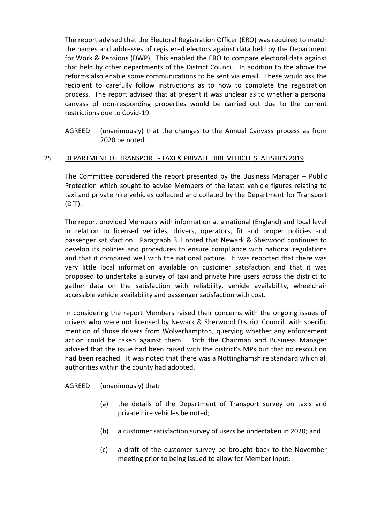The report advised that the Electoral Registration Officer (ERO) was required to match the names and addresses of registered electors against data held by the Department for Work & Pensions (DWP). This enabled the ERO to compare electoral data against that held by other departments of the District Council. In addition to the above the reforms also enable some communications to be sent via email. These would ask the recipient to carefully follow instructions as to how to complete the registration process. The report advised that at present it was unclear as to whether a personal canvass of non-responding properties would be carried out due to the current restrictions due to Covid-19.

AGREED (unanimously) that the changes to the Annual Canvass process as from 2020 be noted.

## 25 DEPARTMENT OF TRANSPORT - TAXI & PRIVATE HIRE VEHICLE STATISTICS 2019

The Committee considered the report presented by the Business Manager – Public Protection which sought to advise Members of the latest vehicle figures relating to taxi and private hire vehicles collected and collated by the Department for Transport (DfT).

The report provided Members with information at a national (England) and local level in relation to licensed vehicles, drivers, operators, fit and proper policies and passenger satisfaction. Paragraph 3.1 noted that Newark & Sherwood continued to develop its policies and procedures to ensure compliance with national regulations and that it compared well with the national picture. It was reported that there was very little local information available on customer satisfaction and that it was proposed to undertake a survey of taxi and private hire users across the district to gather data on the satisfaction with reliability, vehicle availability, wheelchair accessible vehicle availability and passenger satisfaction with cost.

In considering the report Members raised their concerns with the ongoing issues of drivers who were not licensed by Newark & Sherwood District Council, with specific mention of those drivers from Wolverhampton, querying whether any enforcement action could be taken against them. Both the Chairman and Business Manager advised that the issue had been raised with the district's MPs but that no resolution had been reached. It was noted that there was a Nottinghamshire standard which all authorities within the county had adopted.

AGREED (unanimously) that:

- (a) the details of the Department of Transport survey on taxis and private hire vehicles be noted;
- (b) a customer satisfaction survey of users be undertaken in 2020; and
- (c) a draft of the customer survey be brought back to the November meeting prior to being issued to allow for Member input.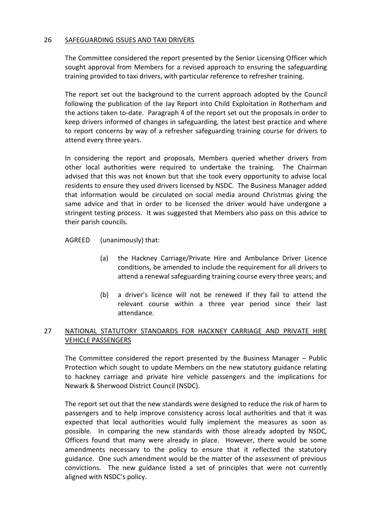## 26 SAFEGUARDING ISSUES AND TAXI DRIVERS

The Committee considered the report presented by the Senior Licensing Officer which sought approval from Members for a revised approach to ensuring the safeguarding training provided to taxi drivers, with particular reference to refresher training.

The report set out the background to the current approach adopted by the Council following the publication of the Jay Report into Child Exploitation in Rotherham and the actions taken to-date. Paragraph 4 of the report set out the proposals in order to keep drivers informed of changes in safeguarding, the latest best practice and where to report concerns by way of a refresher safeguarding training course for drivers to attend every three years.

In considering the report and proposals, Members queried whether drivers from other local authorities were required to undertake the training. The Chairman advised that this was not known but that she took every opportunity to advise local residents to ensure they used drivers licensed by NSDC. The Business Manager added that information would be circulated on social media around Christmas giving the same advice and that in order to be licensed the driver would have undergone a stringent testing process. It was suggested that Members also pass on this advice to their parish councils.

AGREED (unanimously) that:

- (a) the Hackney Carriage/Private Hire and Ambulance Driver Licence conditions, be amended to include the requirement for all drivers to attend a renewal safeguarding training course every three years; and
- (b) a driver's licence will not be renewed if they fail to attend the relevant course within a three year period since their last attendance.

# 27 NATIONAL STATUTORY STANDARDS FOR HACKNEY CARRIAGE AND PRIVATE HIRE VEHICLE PASSENGERS

The Committee considered the report presented by the Business Manager – Public Protection which sought to update Members on the new statutory guidance relating to hackney carriage and private hire vehicle passengers and the implications for Newark & Sherwood District Council (NSDC).

The report set out that the new standards were designed to reduce the risk of harm to passengers and to help improve consistency across local authorities and that it was expected that local authorities would fully implement the measures as soon as possible. In comparing the new standards with those already adopted by NSDC, Officers found that many were already in place. However, there would be some amendments necessary to the policy to ensure that it reflected the statutory guidance. One such amendment would be the matter of the assessment of previous convictions. The new guidance listed a set of principles that were not currently aligned with NSDC's policy.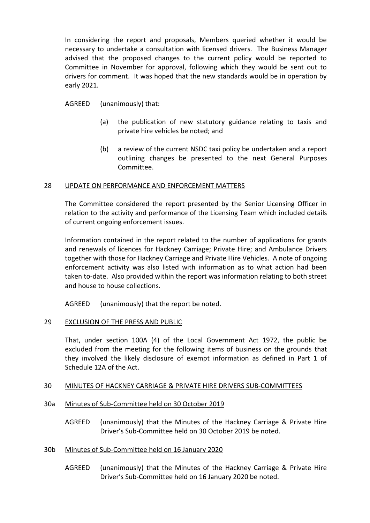In considering the report and proposals, Members queried whether it would be necessary to undertake a consultation with licensed drivers. The Business Manager advised that the proposed changes to the current policy would be reported to Committee in November for approval, following which they would be sent out to drivers for comment. It was hoped that the new standards would be in operation by early 2021.

AGREED (unanimously) that:

- (a) the publication of new statutory guidance relating to taxis and private hire vehicles be noted; and
- (b) a review of the current NSDC taxi policy be undertaken and a report outlining changes be presented to the next General Purposes Committee.

# 28 UPDATE ON PERFORMANCE AND ENFORCEMENT MATTERS

The Committee considered the report presented by the Senior Licensing Officer in relation to the activity and performance of the Licensing Team which included details of current ongoing enforcement issues.

Information contained in the report related to the number of applications for grants and renewals of licences for Hackney Carriage; Private Hire; and Ambulance Drivers together with those for Hackney Carriage and Private Hire Vehicles. A note of ongoing enforcement activity was also listed with information as to what action had been taken to-date. Also provided within the report was information relating to both street and house to house collections.

AGREED (unanimously) that the report be noted.

## 29 EXCLUSION OF THE PRESS AND PUBLIC

That, under section 100A (4) of the Local Government Act 1972, the public be excluded from the meeting for the following items of business on the grounds that they involved the likely disclosure of exempt information as defined in Part 1 of Schedule 12A of the Act.

## 30 MINUTES OF HACKNEY CARRIAGE & PRIVATE HIRE DRIVERS SUB-COMMITTEES

- 30a Minutes of Sub-Committee held on 30 October 2019
	- AGREED (unanimously) that the Minutes of the Hackney Carriage & Private Hire Driver's Sub-Committee held on 30 October 2019 be noted.
- 30b Minutes of Sub-Committee held on 16 January 2020
	- AGREED (unanimously) that the Minutes of the Hackney Carriage & Private Hire Driver's Sub-Committee held on 16 January 2020 be noted.